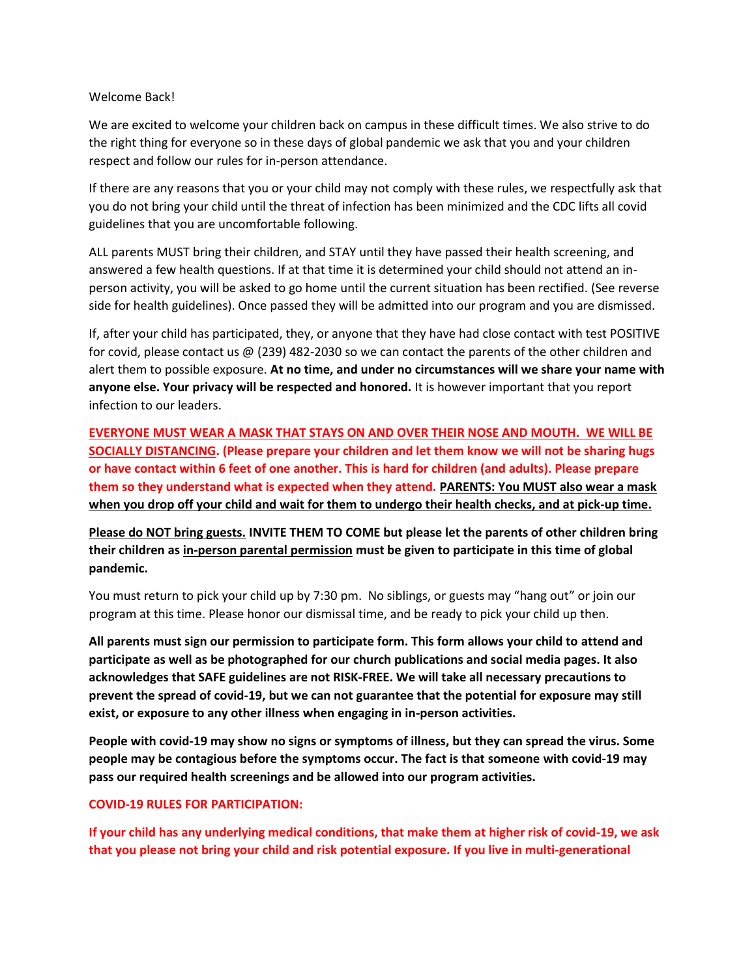#### Welcome Back!

We are excited to welcome your children back on campus in these difficult times. We also strive to do the right thing for everyone so in these days of global pandemic we ask that you and your children respect and follow our rules for in-person attendance.

If there are any reasons that you or your child may not comply with these rules, we respectfully ask that you do not bring your child until the threat of infection has been minimized and the CDC lifts all covid guidelines that you are uncomfortable following.

ALL parents MUST bring their children, and STAY until they have passed their health screening, and answered a few health questions. If at that time it is determined your child should not attend an inperson activity, you will be asked to go home until the current situation has been rectified. (See reverse side for health guidelines). Once passed they will be admitted into our program and you are dismissed.

If, after your child has participated, they, or anyone that they have had close contact with test POSITIVE for covid, please contact us @ (239) 482-2030 so we can contact the parents of the other children and alert them to possible exposure. **At no time, and under no circumstances will we share your name with anyone else. Your privacy will be respected and honored.** It is however important that you report infection to our leaders.

**EVERYONE MUST WEAR A MASK THAT STAYS ON AND OVER THEIR NOSE AND MOUTH. WE WILL BE SOCIALLY DISTANCING. (Please prepare your children and let them know we will not be sharing hugs or have contact within 6 feet of one another. This is hard for children (and adults). Please prepare them so they understand what is expected when they attend. PARENTS: You MUST also wear a mask when you drop off your child and wait for them to undergo their health checks, and at pick-up time.** 

**Please do NOT bring guests. INVITE THEM TO COME but please let the parents of other children bring their children as in-person parental permission must be given to participate in this time of global pandemic.**

You must return to pick your child up by 7:30 pm. No siblings, or guests may "hang out" or join our program at this time. Please honor our dismissal time, and be ready to pick your child up then.

**All parents must sign our permission to participate form. This form allows your child to attend and participate as well as be photographed for our church publications and social media pages. It also acknowledges that SAFE guidelines are not RISK-FREE. We will take all necessary precautions to prevent the spread of covid-19, but we can not guarantee that the potential for exposure may still exist, or exposure to any other illness when engaging in in-person activities.**

**People with covid-19 may show no signs or symptoms of illness, but they can spread the virus. Some people may be contagious before the symptoms occur. The fact is that someone with covid-19 may pass our required health screenings and be allowed into our program activities.**

### **COVID-19 RULES FOR PARTICIPATION:**

**If your child has any underlying medical conditions, that make them at higher risk of covid-19, we ask that you please not bring your child and risk potential exposure. If you live in multi-generational**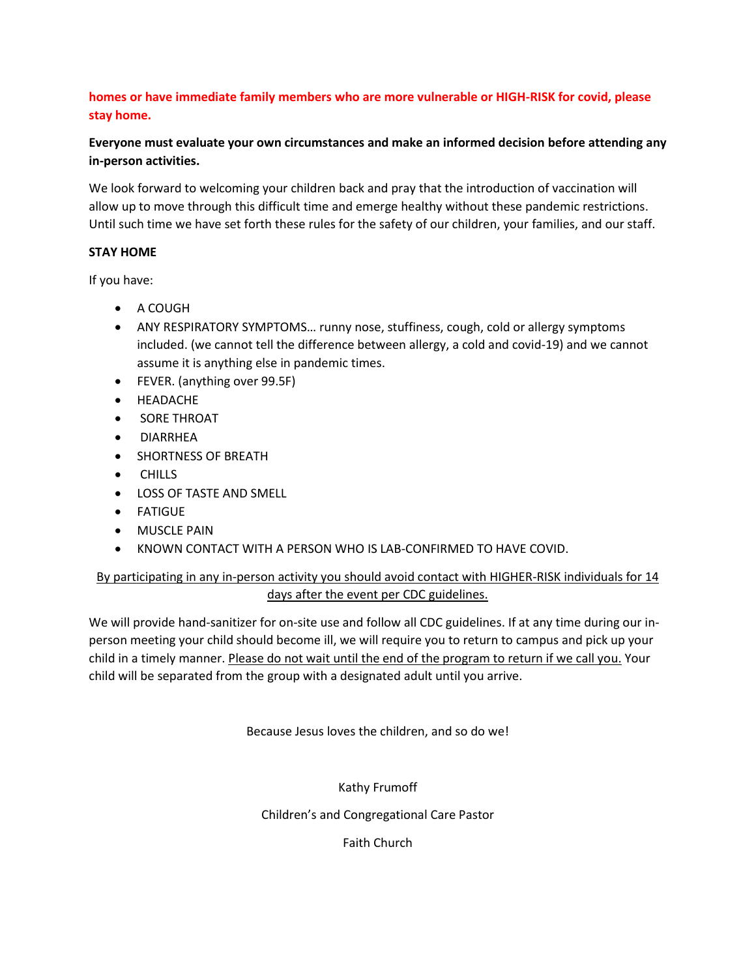## **homes or have immediate family members who are more vulnerable or HIGH-RISK for covid, please stay home.**

# **Everyone must evaluate your own circumstances and make an informed decision before attending any in-person activities.**

We look forward to welcoming your children back and pray that the introduction of vaccination will allow up to move through this difficult time and emerge healthy without these pandemic restrictions. Until such time we have set forth these rules for the safety of our children, your families, and our staff.

### **STAY HOME**

If you have:

- A COUGH
- ANY RESPIRATORY SYMPTOMS… runny nose, stuffiness, cough, cold or allergy symptoms included. (we cannot tell the difference between allergy, a cold and covid-19) and we cannot assume it is anything else in pandemic times.
- FEVER. (anything over 99.5F)
- HEADACHE
- **•** SORE THROAT
- DIARRHEA
- SHORTNESS OF BREATH
- **•** CHILLS
- LOSS OF TASTE AND SMELL
- FATIGUE
- **•** MUSCLE PAIN
- KNOWN CONTACT WITH A PERSON WHO IS LAB-CONFIRMED TO HAVE COVID.

# By participating in any in-person activity you should avoid contact with HIGHER-RISK individuals for 14 days after the event per CDC guidelines.

We will provide hand-sanitizer for on-site use and follow all CDC guidelines. If at any time during our inperson meeting your child should become ill, we will require you to return to campus and pick up your child in a timely manner. Please do not wait until the end of the program to return if we call you. Your child will be separated from the group with a designated adult until you arrive.

Because Jesus loves the children, and so do we!

Kathy Frumoff

Children's and Congregational Care Pastor

Faith Church